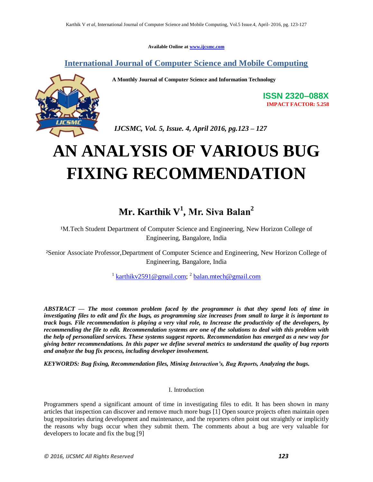**Available Online at www.ijcsmc.com**

**International Journal of Computer Science and Mobile Computing**

 **A Monthly Journal of Computer Science and Information Technology**



**ISSN 2320–088X IMPACT FACTOR: 5.258**

 *IJCSMC, Vol. 5, Issue. 4, April 2016, pg.123 – 127*

# **AN ANALYSIS OF VARIOUS BUG FIXING RECOMMENDATION**

# **Mr. Karthik V<sup>1</sup> , Mr. Siva Balan<sup>2</sup>**

<sup>1</sup>M.Tech Student Department of Computer Science and Engineering, New Horizon College of Engineering, Bangalore, India

²Senior Associate Professor,Department of Computer Science and Engineering, New Horizon College of Engineering, Bangalore, India

<sup>1</sup> karthikv2591@gmail.com; <sup>2</sup> balan.mtech@gmail.com

*ABSTRACT — The most common problem faced by the programmer is that they spend lots of time in investigating files to edit and fix the bugs, as programming size increases from small to large it is important to track bugs. File recommendation is playing a very vital role, to Increase the productivity of the developers, by recommending the file to edit. Recommendation systems are one of the solutions to deal with this problem with the help of personalized services. These systems suggest reports. Recommendation has emerged as a new way for giving better recommendations. In this paper we define several metrics to understand the quality of bug reports and analyze the bug fix process, including developer involvement.*

*KEYWORDS: Bug fixing, Recommendation files, Mining Interaction's, Bug Reports, Analyzing the bugs.*

## I. Introduction

Programmers spend a significant amount of time in investigating files to edit. It has been shown in many articles that inspection can discover and remove much more bugs [1] Open source projects often maintain open bug repositories during development and maintenance, and the reporters often point out straightly or implicitly the reasons why bugs occur when they submit them. The comments about a bug are very valuable for developers to locate and fix the bug [9]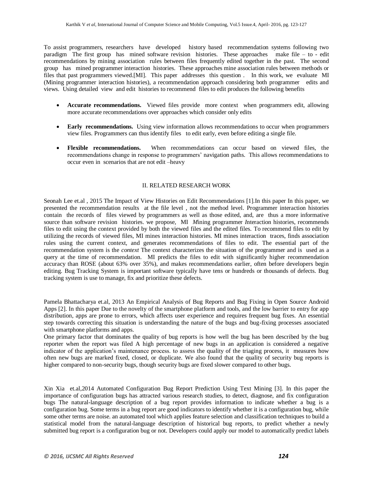To assist programmers, researchers have developed history based recommendation systems following two paradigm The first group has mined software revision histories. These approaches make file – to - edit recommendations by mining association rules between files frequently edited together in the past. The second group has mined programmer interaction histories. These approaches mine association rules between methods or files that past programmers viewed.[MI]. This paper addresses this question . In this work, we evaluate MI (Mining programmer interaction histories), a recommendation approach considering both programmer edits and views. Using detailed view and edit histories to recommend files to edit produces the following benefits

- **Accurate recommendations.** Viewed files provide more context when programmers edit, allowing more accurate recommendations over approaches which consider only edits
- **Early recommendations.** Using view information allows recommendations to occur when programmers view files. Programmers can thus identify files to edit early, even before editing a single file.
- **Flexible recommendations.** When recommendations can occur based on viewed files, the recommendations change in response to programmers' navigation paths. This allows recommendations to occur even in scenarios that are not edit –heavy

### II. RELATED RESEARCH WORK

Seonah Lee et.al , 2015 The Impact of View Histories on Edit Recommendations [1].In this paper In this paper, we presented the recommendation results at the file level , not the method level. Programmer interaction histories contain the records of files viewed by programmers as well as those edited, and, are thus a more informative source than software revision histories. we propose, MI *M*ining programmer *I*nteraction histories, recommends files to edit using the context provided by both the viewed files and the edited files. To recommend files to edit by utilizing the records of viewed files, MI mines interaction histories. MI mines interaction traces, finds association rules using the current context, and generates recommendations of files to edit. The essential part of the recommendation system is the *context* The context characterizes the situation of the programmer and is used as a query at the time of recommendation. MI predicts the files to edit with significantly higher recommendation accuracy than ROSE (about 63% over 35%), and makes recommendations earlier, often before developers begin editing. Bug Tracking System is important software typically have tens or hundreds or thousands of defects. Bug tracking system is use to manage, fix and prioritize these defects.

Pamela Bhattacharya et.al, 2013 An Empirical Analysis of Bug Reports and Bug Fixing in Open Source Android Apps [2]. In this paper Due to the novelty of the smartphone platform and tools, and the low barrier to entry for app distribution, apps are prone to errors, which affects user experience and requires frequent bug fixes. An essential step towards correcting this situation is understanding the nature of the bugs and bug-fixing processes associated with smartphone platforms and apps.

One primary factor that dominates the quality of bug reports is how well the bug has been described by the bug reporter when the report was filed A high percentage of new bugs in an application is considered a negative indicator of the application's maintenance process. to assess the quality of the triaging process, it measures how often new bugs are marked fixed, closed, or duplicate. We also found that the quality of security bug reports is higher compared to non-security bugs, though security bugs are fixed slower compared to other bugs.

Xin Xia et.al,2014 Automated Configuration Bug Report Prediction Using Text Mining [3]. In this paper the importance of configuration bugs has attracted various research studies, to detect, diagnose, and fix configuration bugs The natural-language description of a bug report provides information to indicate whether a bug is a configuration bug. Some terms in a bug report are good indicators to identify whether it is a configuration bug, while some other terms are noise. an automated tool which applies feature selection and classification techniques to build a statistical model from the natural-language description of historical bug reports, to predict whether a newly submitted bug report is a configuration bug or not. Developers could apply our model to automatically predict labels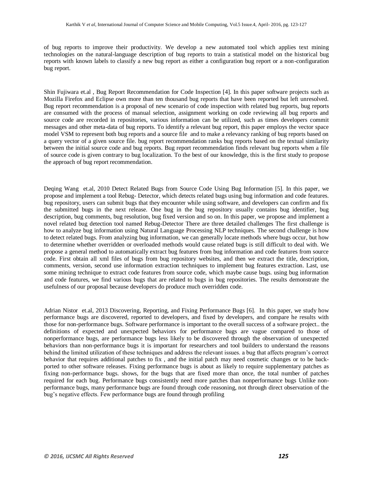of bug reports to improve their productivity. We develop a new automated tool which applies text mining technologies on the natural-language description of bug reports to train a statistical model on the historical bug reports with known labels to classify a new bug report as either a configuration bug report or a non-configuration bug report.

Shin Fujiwara et.al , Bug Report Recommendation for Code Inspection [4]. In this paper software projects such as Mozilla Firefox and Eclipse own more than ten thousand bug reports that have been reported but left unresolved. Bug report recommendation is a proposal of new scenario of code inspection with related bug reports, bug reports are consumed with the process of manual selection, assignment working on code reviewing all bug reports and source code are recorded in repositories, various information can be utilized, such as times developers commit messages and other meta-data of bug reports. To identify a relevant bug report, this paper employs the vector space model VSM to represent both bug reports and a source file and to make a relevancy ranking of bug reports based on a query vector of a given source file. bug report recommendation ranks bug reports based on the textual similarity between the initial source code and bug reports. Bug report recommendation finds relevant bug reports when a file of source code is given contrary to bug localization. To the best of our knowledge, this is the first study to propose the approach of bug report recommendation.

Deqing Wang et.al, 2010 Detect Related Bugs from Source Code Using Bug Information [5]. In this paper, we propose and implement a tool Rebug- Detector, which detects related bugs using bug information and code features. bug repository, users can submit bugs that they encounter while using software, and developers can confirm and fix the submitted bugs in the next release. One bug in the bug repository usually contains bug identifier, bug description, bug comments, bug resolution, bug fixed version and so on. In this paper, we propose and implement a novel related bug detection tool named Rebug-Detector There are three detailed challenges The first challenge is how to analyze bug information using Natural Language Processing NLP techniques. The second challenge is how to detect related bugs. From analyzing bug information, we can generally locate methods where bugs occur, but how to determine whether overridden or overloaded methods would cause related bugs is still difficult to deal with. We propose a general method to automatically extract bug features from bug information and code features from source code. First obtain all xml files of bugs from bug repository websites, and then we extract the title, description, comments, version, second use information extraction techniques to implement bug features extraction. Last, use some mining technique to extract code features from source code, which maybe cause bugs. using bug information and code features, we find various bugs that are related to bugs in bug repositories. The results demonstrate the usefulness of our proposal because developers do produce much overridden code.

Adrian Nistor et.al, 2013 Discovering, Reporting, and Fixing Performance Bugs [6]. In this paper, we study how performance bugs are discovered, reported to developers, and fixed by developers, and compare he results with those for non-performance bugs. Software performance is important to the overall success of a software project.. the definitions of expected and unexpected behaviors for performance bugs are vague compared to those of nonperformance bugs, are performance bugs less likely to be discovered through the observation of unexpected behaviors than non-performance bugs it is important for researchers and tool builders to understand the reasons behind the limited utilization of these techniques and address the relevant issues. a bug that affects program's correct behavior that requires additional patches to fix , and the initial patch may need cosmetic changes or to be backported to other software releases. Fixing performance bugs is about as likely to require supplementary patches as fixing non-performance bugs. shows, for the bugs that are fixed more than once, the total number of patches required for each bug. Performance bugs consistently need more patches than nonperformance bugs Unlike nonperformance bugs, many performance bugs are found through code reasoning, not through direct observation of the bug's negative effects. Few performance bugs are found through profiling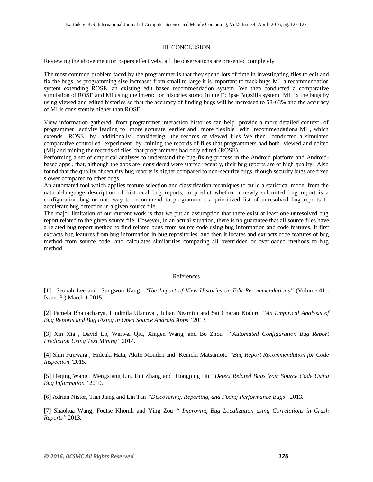#### III. CONCLUSION

Reviewing the above mention papers effectively, all the observations are presented completely.

The most common problem faced by the programmer is that they spend lots of time in investigating files to edit and fix the bugs, as programming size increases from small to large it is important to track bugs MI, a recommendation system extending ROSE, an existing edit based recommendation system. We then conducted a comparative simulation of ROSE and MI using the interaction histories stored in the Eclipse Bugzilla system MI fix the bugs by using viewed and edited histories so that the accuracy of finding bugs will be increased to 58-63% and the accuracy of MI is consistently higher than ROSE.

View information gathered from programmer interaction histories can help provide a more detailed context of programmer activity leading to more accurate, earlier and more flexible edit recommendations MI , which extends ROSE by additionally considering the records of viewed files We then conducted a simulated comparative controlled experiment by mining the records of files that programmers had both viewed and edited (MI) and mining the records of files that programmers had only edited (ROSE).

Performing a set of empirical analyses to understand the bug-fixing process in the Android platform and Androidbased apps , that, although the apps are considered were started recently, their bug reports are of high quality. Also found that the quality of security bug reports is higher compared to non-security bugs, though security bugs are fixed slower compared to other bugs.

An automated tool which applies feature selection and classification techniques to build a statistical model from the natural-language description of historical bug reports, to predict whether a newly submitted bug report is a configuration bug or not. way to recommend to programmers a prioritized list of unresolved bug reports to accelerate bug detection in a given source file.

The major limitation of our current work is that we put an assumption that there exist at least one unresolved bug report related to the given source file. However, in an actual situation, there is no guarantee that all source files have a related bug report method to find related bugs from source code using bug information and code features. It first extracts bug features from bug information in bug repositories; and then it locates and extracts code features of bug method from source code, and calculates similarities comparing all overridden or overloaded methods to bug method

#### References

[1] Seonah Lee and Sungwon Kang *"The Impact of View Histories on Edit Recommendations"* (Volume:41 , Issue: 3 ),March 1 2015.

[2] Pamela Bhattacharya, Liudmila Ulanova , Iulian Neamtiu and Sai Charan Koduru *"An Empirical Analysis of Bug Reports and Bug Fixing in Open Source Android Apps"* 2013.

[3] Xin Xia , David Lo, Weiwei Qiu, Xingen Wang, and Bo Zhou *"Automated Configuration Bug Report Prediction Using Text Mining"* 2014.

[4] Shin Fujiwara , Hideaki Hata, Akito Monden and Kenichi Matsumoto *"Bug Report Recommendation for Code Inspection"*2015.

[5] Deqing Wang , Mengxiang Lin, Hui Zhang and Hongping Hu *"Detect Related Bugs from Source Code Using Bug Information"* 2010.

[6] Adrian Nistor, Tian Jiang and Lin Tan *"Discovering, Reporting, and Fixing Performance Bugs"* 2013.

[7] Shaohua Wang, Foutse Khomh and Ying Zou *" Improving Bug Localization using Correlations in Crash Reports"* 2013.